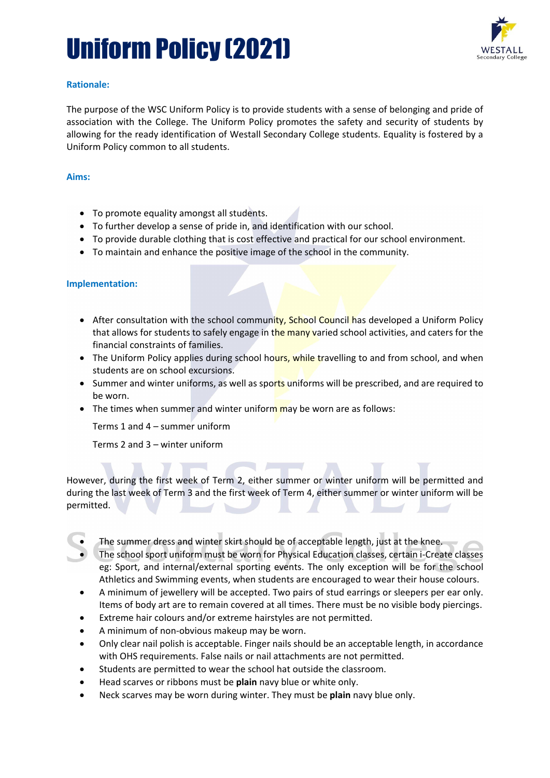# Uniform Policy (2021)



## **Rationale:**

The purpose of the WSC Uniform Policy is to provide students with a sense of belonging and pride of association with the College. The Uniform Policy promotes the safety and security of students by allowing for the ready identification of Westall Secondary College students. Equality is fostered by a Uniform Policy common to all students.

## **Aims:**

- To promote equality amongst all students.
- To further develop a sense of pride in, and identification with our school.
- To provide durable clothing that is cost effective and practical for our school environment.
- To maintain and enhance the positive image of the school in the community.

#### **Implementation:**

- After consultation with the school community, School Council has developed a Uniform Policy that allows for students to safely engage in the many varied school activities, and caters for the financial constraints of families.
- The Uniform Policy applies during school hours, while travelling to and from school, and when students are on school excursions.
- Summer and winter uniforms, as well as sports uniforms will be prescribed, and are required to be worn.
- The times when summer and winter uniform may be worn are as follows:

Terms 1 and 4 – summer uniform

Terms 2 and 3 – winter uniform

However, during the first week of Term 2, either summer or winter uniform will be permitted and during the last week of Term 3 and the first week of Term 4, either summer or winter uniform will be permitted.  $\overline{\phantom{a}}$ 

ST ANDROID

- The summer dress and winter skirt should be of acceptable length, just at the knee.
- The school sport uniform must be worn for Physical Education classes, certain i-Create classes eg: Sport, and internal/external sporting events. The only exception will be for the school Athletics and Swimming events, when students are encouraged to wear their house colours.
- A minimum of jewellery will be accepted. Two pairs of stud earrings or sleepers per ear only. Items of body art are to remain covered at all times. There must be no visible body piercings.
- Extreme hair colours and/or extreme hairstyles are not permitted.
- A minimum of non-obvious makeup may be worn.

- Only clear nail polish is acceptable. Finger nails should be an acceptable length, in accordance with OHS requirements. False nails or nail attachments are not permitted.
- Students are permitted to wear the school hat outside the classroom.
- Head scarves or ribbons must be **plain** navy blue or white only.
- Neck scarves may be worn during winter. They must be **plain** navy blue only.